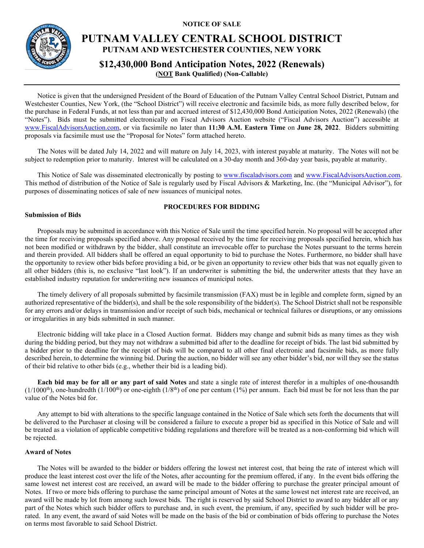**NOTICE OF SALE**



# **PUTNAM VALLEY CENTRAL SCHOOL DISTRICT PUTNAM AND WESTCHESTER COUNTIES, NEW YORK**

**\$12,430,000 Bond Anticipation Notes, 2022 (Renewals) (NOT Bank Qualified) (Non-Callable)**

Notice is given that the undersigned President of the Board of Education of the Putnam Valley Central School District, Putnam and Westchester Counties, New York, (the "School District") will receive electronic and facsimile bids, as more fully described below, for the purchase in Federal Funds, at not less than par and accrued interest of \$12,430,000 Bond Anticipation Notes, 2022 (Renewals) (the "Notes"). Bids must be submitted electronically on Fiscal Advisors Auction website ("Fiscal Advisors Auction") accessible at [www.FiscalAdvisorsAuction.com,](http://www.fiscaladvisorsauction.com/) or via facsimile no later than **11:30 A.M. Eastern Time** on **June 28, 2022**. Bidders submitting proposals via facsimile must use the "Proposal for Notes" form attached hereto.

The Notes will be dated July 14, 2022 and will mature on July 14, 2023, with interest payable at maturity. The Notes will not be subject to redemption prior to maturity. Interest will be calculated on a 30-day month and 360-day year basis, payable at maturity.

This Notice of Sale was disseminated electronically by posting to [www.fiscaladvisors.com](http://www.fiscaladvisors.com/) and [www.FiscalAdvisorsAuction.com.](http://www.fiscaladvisorsauction.com/) This method of distribution of the Notice of Sale is regularly used by Fiscal Advisors & Marketing, Inc. (the "Municipal Advisor"), for purposes of disseminating notices of sale of new issuances of municipal notes.

#### **PROCEDURES FOR BIDDING**

#### **Submission of Bids**

Proposals may be submitted in accordance with this Notice of Sale until the time specified herein. No proposal will be accepted after the time for receiving proposals specified above. Any proposal received by the time for receiving proposals specified herein, which has not been modified or withdrawn by the bidder, shall constitute an irrevocable offer to purchase the Notes pursuant to the terms herein and therein provided. All bidders shall be offered an equal opportunity to bid to purchase the Notes. Furthermore, no bidder shall have the opportunity to review other bids before providing a bid, or be given an opportunity to review other bids that was not equally given to all other bidders (this is, no exclusive "last look"). If an underwriter is submitting the bid, the underwriter attests that they have an established industry reputation for underwriting new issuances of municipal notes.

The timely delivery of all proposals submitted by facsimile transmission (FAX) must be in legible and complete form, signed by an authorized representative of the bidder(s), and shall be the sole responsibility of the bidder(s). The School District shall not be responsible for any errors and/or delays in transmission and/or receipt of such bids, mechanical or technical failures or disruptions, or any omissions or irregularities in any bids submitted in such manner.

Electronic bidding will take place in a Closed Auction format. Bidders may change and submit bids as many times as they wish during the bidding period, but they may not withdraw a submitted bid after to the deadline for receipt of bids. The last bid submitted by a bidder prior to the deadline for the receipt of bids will be compared to all other final electronic and facsimile bids, as more fully described herein, to determine the winning bid. During the auction, no bidder will see any other bidder's bid, nor will they see the status of their bid relative to other bids (e.g., whether their bid is a leading bid).

**Each bid may be for all or any part of said Notes** and state a single rate of interest therefor in a multiples of one-thousandth  $(1/1000<sup>th</sup>)$ , one-hundredth  $(1/100<sup>th</sup>)$  or one-eighth  $(1/8<sup>th</sup>)$  of one per centum  $(1%)$  per annum. Each bid must be for not less than the par value of the Notes bid for.

Any attempt to bid with alterations to the specific language contained in the Notice of Sale which sets forth the documents that will be delivered to the Purchaser at closing will be considered a failure to execute a proper bid as specified in this Notice of Sale and will be treated as a violation of applicable competitive bidding regulations and therefore will be treated as a non-conforming bid which will be rejected.

#### **Award of Notes**

The Notes will be awarded to the bidder or bidders offering the lowest net interest cost, that being the rate of interest which will produce the least interest cost over the life of the Notes, after accounting for the premium offered, if any. In the event bids offering the same lowest net interest cost are received, an award will be made to the bidder offering to purchase the greater principal amount of Notes. If two or more bids offering to purchase the same principal amount of Notes at the same lowest net interest rate are received, an award will be made by lot from among such lowest bids. The right is reserved by said School District to award to any bidder all or any part of the Notes which such bidder offers to purchase and, in such event, the premium, if any, specified by such bidder will be prorated. In any event, the award of said Notes will be made on the basis of the bid or combination of bids offering to purchase the Notes on terms most favorable to said School District.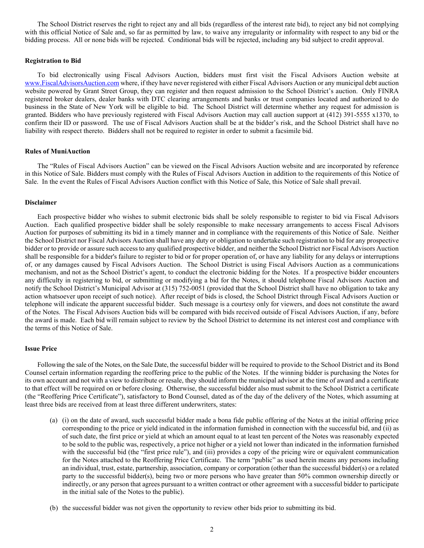The School District reserves the right to reject any and all bids (regardless of the interest rate bid), to reject any bid not complying with this official Notice of Sale and, so far as permitted by law, to waive any irregularity or informality with respect to any bid or the bidding process. All or none bids will be rejected. Conditional bids will be rejected, including any bid subject to credit approval.

#### **Registration to Bid**

To bid electronically using Fiscal Advisors Auction, bidders must first visit the Fiscal Advisors Auction website at [www.FiscalAdvisorsAuction.com](http://www.fiscaladvisorsauction.com/) where, if they have never registered with either Fiscal Advisors Auction or any municipal debt auction website powered by Grant Street Group, they can register and then request admission to the School District's auction. Only FINRA registered broker dealers, dealer banks with DTC clearing arrangements and banks or trust companies located and authorized to do business in the State of New York will be eligible to bid. The School District will determine whether any request for admission is granted. Bidders who have previously registered with Fiscal Advisors Auction may call auction support at (412) 391-5555 x1370, to confirm their ID or password. The use of Fiscal Advisors Auction shall be at the bidder's risk, and the School District shall have no liability with respect thereto. Bidders shall not be required to register in order to submit a facsimile bid.

#### **Rules of MuniAuction**

The "Rules of Fiscal Advisors Auction" can be viewed on the Fiscal Advisors Auction website and are incorporated by reference in this Notice of Sale. Bidders must comply with the Rules of Fiscal Advisors Auction in addition to the requirements of this Notice of Sale. In the event the Rules of Fiscal Advisors Auction conflict with this Notice of Sale, this Notice of Sale shall prevail.

#### **Disclaimer**

Each prospective bidder who wishes to submit electronic bids shall be solely responsible to register to bid via Fiscal Advisors Auction. Each qualified prospective bidder shall be solely responsible to make necessary arrangements to access Fiscal Advisors Auction for purposes of submitting its bid in a timely manner and in compliance with the requirements of this Notice of Sale. Neither the School District nor Fiscal Advisors Auction shall have any duty or obligation to undertake such registration to bid for any prospective bidder or to provide or assure such access to any qualified prospective bidder, and neither the School District nor Fiscal Advisors Auction shall be responsible for a bidder's failure to register to bid or for proper operation of, or have any liability for any delays or interruptions of, or any damages caused by Fiscal Advisors Auction. The School District is using Fiscal Advisors Auction as a communications mechanism, and not as the School District's agent, to conduct the electronic bidding for the Notes. If a prospective bidder encounters any difficulty in registering to bid, or submitting or modifying a bid for the Notes, it should telephone Fiscal Advisors Auction and notify the School District's Municipal Advisor at (315) 752-0051 (provided that the School District shall have no obligation to take any action whatsoever upon receipt of such notice). After receipt of bids is closed, the School District through Fiscal Advisors Auction or telephone will indicate the apparent successful bidder. Such message is a courtesy only for viewers, and does not constitute the award of the Notes. The Fiscal Advisors Auction bids will be compared with bids received outside of Fiscal Advisors Auction, if any, before the award is made. Each bid will remain subject to review by the School District to determine its net interest cost and compliance with the terms of this Notice of Sale.

#### **Issue Price**

Following the sale of the Notes, on the Sale Date, the successful bidder will be required to provide to the School District and its Bond Counsel certain information regarding the reoffering price to the public of the Notes. If the winning bidder is purchasing the Notes for its own account and not with a view to distribute or resale, they should inform the municipal advisor at the time of award and a certificate to that effect will be required on or before closing. Otherwise, the successful bidder also must submit to the School District a certificate (the "Reoffering Price Certificate"), satisfactory to Bond Counsel, dated as of the day of the delivery of the Notes, which assuming at least three bids are received from at least three different underwriters, states:

- (a) (i) on the date of award, such successful bidder made a bona fide public offering of the Notes at the initial offering price corresponding to the price or yield indicated in the information furnished in connection with the successful bid, and (ii) as of such date, the first price or yield at which an amount equal to at least ten percent of the Notes was reasonably expected to be sold to the public was, respectively, a price not higher or a yield not lower than indicated in the information furnished with the successful bid (the "first price rule"), and (iii) provides a copy of the pricing wire or equivalent communication for the Notes attached to the Reoffering Price Certificate. The term "public" as used herein means any persons including an individual, trust, estate, partnership, association, company or corporation (other than the successful bidder(s) or a related party to the successful bidder(s), being two or more persons who have greater than 50% common ownership directly or indirectly, or any person that agrees pursuant to a written contract or other agreement with a successful bidder to participate in the initial sale of the Notes to the public).
- (b) the successful bidder was not given the opportunity to review other bids prior to submitting its bid.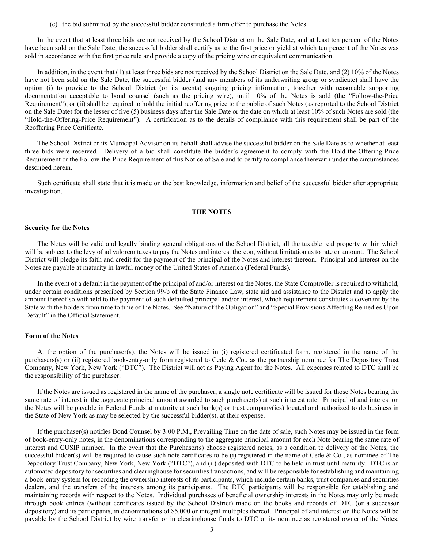(c) the bid submitted by the successful bidder constituted a firm offer to purchase the Notes.

In the event that at least three bids are not received by the School District on the Sale Date, and at least ten percent of the Notes have been sold on the Sale Date, the successful bidder shall certify as to the first price or yield at which ten percent of the Notes was sold in accordance with the first price rule and provide a copy of the pricing wire or equivalent communication.

In addition, in the event that (1) at least three bids are not received by the School District on the Sale Date, and (2) 10% of the Notes have not been sold on the Sale Date, the successful bidder (and any members of its underwriting group or syndicate) shall have the option (i) to provide to the School District (or its agents) ongoing pricing information, together with reasonable supporting documentation acceptable to bond counsel (such as the pricing wire), until 10% of the Notes is sold (the "Follow-the-Price Requirement"), or (ii) shall be required to hold the initial reoffering price to the public of such Notes (as reported to the School District on the Sale Date) for the lesser of five (5) business days after the Sale Date or the date on which at least 10% of such Notes are sold (the "Hold-the-Offering-Price Requirement"). A certification as to the details of compliance with this requirement shall be part of the Reoffering Price Certificate.

The School District or its Municipal Advisor on its behalf shall advise the successful bidder on the Sale Date as to whether at least three bids were received. Delivery of a bid shall constitute the bidder's agreement to comply with the Hold-the-Offering-Price Requirement or the Follow-the-Price Requirement of this Notice of Sale and to certify to compliance therewith under the circumstances described herein.

Such certificate shall state that it is made on the best knowledge, information and belief of the successful bidder after appropriate investigation.

#### **THE NOTES**

#### **Security for the Notes**

The Notes will be valid and legally binding general obligations of the School District, all the taxable real property within which will be subject to the levy of ad valorem taxes to pay the Notes and interest thereon, without limitation as to rate or amount. The School District will pledge its faith and credit for the payment of the principal of the Notes and interest thereon. Principal and interest on the Notes are payable at maturity in lawful money of the United States of America (Federal Funds).

In the event of a default in the payment of the principal of and/or interest on the Notes, the State Comptroller is required to withhold, under certain conditions prescribed by Section 99-b of the State Finance Law, state aid and assistance to the District and to apply the amount thereof so withheld to the payment of such defaulted principal and/or interest, which requirement constitutes a covenant by the State with the holders from time to time of the Notes. See "Nature of the Obligation" and "Special Provisions Affecting Remedies Upon Default" in the Official Statement.

#### **Form of the Notes**

At the option of the purchaser(s), the Notes will be issued in (i) registered certificated form, registered in the name of the purchasers(s) or (ii) registered book-entry-only form registered to Cede & Co., as the partnership nominee for The Depository Trust Company, New York, New York ("DTC"). The District will act as Paying Agent for the Notes. All expenses related to DTC shall be the responsibility of the purchaser.

If the Notes are issued as registered in the name of the purchaser, a single note certificate will be issued for those Notes bearing the same rate of interest in the aggregate principal amount awarded to such purchaser(s) at such interest rate. Principal of and interest on the Notes will be payable in Federal Funds at maturity at such bank(s) or trust company(ies) located and authorized to do business in the State of New York as may be selected by the successful bidder(s), at their expense.

If the purchaser(s) notifies Bond Counsel by 3:00 P.M., Prevailing Time on the date of sale, such Notes may be issued in the form of book-entry-only notes, in the denominations corresponding to the aggregate principal amount for each Note bearing the same rate of interest and CUSIP number. In the event that the Purchaser(s) choose registered notes, as a condition to delivery of the Notes, the successful bidder(s) will be required to cause such note certificates to be (i) registered in the name of Cede & Co., as nominee of The Depository Trust Company, New York, New York ("DTC"), and (ii) deposited with DTC to be held in trust until maturity. DTC is an automated depository for securities and clearinghouse for securities transactions, and will be responsible for establishing and maintaining a book-entry system for recording the ownership interests of its participants, which include certain banks, trust companies and securities dealers, and the transfers of the interests among its participants. The DTC participants will be responsible for establishing and maintaining records with respect to the Notes. Individual purchases of beneficial ownership interests in the Notes may only be made through book entries (without certificates issued by the School District) made on the books and records of DTC (or a successor depository) and its participants, in denominations of \$5,000 or integral multiples thereof. Principal of and interest on the Notes will be payable by the School District by wire transfer or in clearinghouse funds to DTC or its nominee as registered owner of the Notes.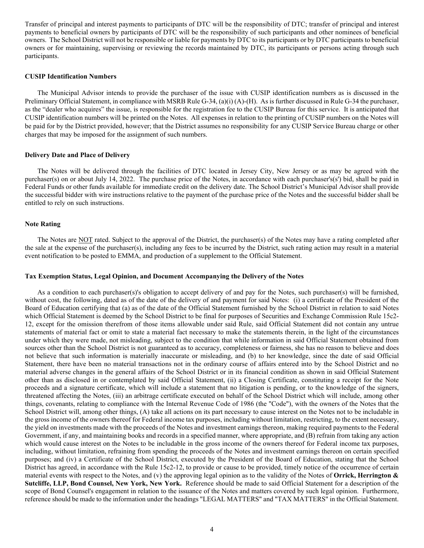Transfer of principal and interest payments to participants of DTC will be the responsibility of DTC; transfer of principal and interest payments to beneficial owners by participants of DTC will be the responsibility of such participants and other nominees of beneficial owners. The School District will not be responsible or liable for payments by DTC to its participants or by DTC participants to beneficial owners or for maintaining, supervising or reviewing the records maintained by DTC, its participants or persons acting through such participants.

#### **CUSIP Identification Numbers**

The Municipal Advisor intends to provide the purchaser of the issue with CUSIP identification numbers as is discussed in the Preliminary Official Statement, in compliance with MSRB Rule G-34, (a)(i) (A)-(H). As is further discussed in Rule G-34 the purchaser, as the "dealer who acquires" the issue, is responsible for the registration fee to the CUSIP Bureau for this service. It is anticipated that CUSIP identification numbers will be printed on the Notes. All expenses in relation to the printing of CUSIP numbers on the Notes will be paid for by the District provided, however; that the District assumes no responsibility for any CUSIP Service Bureau charge or other charges that may be imposed for the assignment of such numbers.

#### **Delivery Date and Place of Delivery**

The Notes will be delivered through the facilities of DTC located in Jersey City, New Jersey or as may be agreed with the purchaser(s) on or about July 14, 2022. The purchase price of the Notes, in accordance with each purchaser's(s') bid, shall be paid in Federal Funds or other funds available for immediate credit on the delivery date. The School District's Municipal Advisor shall provide the successful bidder with wire instructions relative to the payment of the purchase price of the Notes and the successful bidder shall be entitled to rely on such instructions.

#### **Note Rating**

The Notes are NOT rated. Subject to the approval of the District, the purchaser(s) of the Notes may have a rating completed after the sale at the expense of the purchaser(s), including any fees to be incurred by the District, such rating action may result in a material event notification to be posted to EMMA, and production of a supplement to the Official Statement.

#### **Tax Exemption Status, Legal Opinion, and Document Accompanying the Delivery of the Notes**

As a condition to each purchaser(s)'s obligation to accept delivery of and pay for the Notes, such purchaser(s) will be furnished, without cost, the following, dated as of the date of the delivery of and payment for said Notes: (i) a certificate of the President of the Board of Education certifying that (a) as of the date of the Official Statement furnished by the School District in relation to said Notes which Official Statement is deemed by the School District to be final for purposes of Securities and Exchange Commission Rule 15c2- 12, except for the omission therefrom of those items allowable under said Rule, said Official Statement did not contain any untrue statements of material fact or omit to state a material fact necessary to make the statements therein, in the light of the circumstances under which they were made, not misleading, subject to the condition that while information in said Official Statement obtained from sources other than the School District is not guaranteed as to accuracy, completeness or fairness, she has no reason to believe and does not believe that such information is materially inaccurate or misleading, and (b) to her knowledge, since the date of said Official Statement, there have been no material transactions not in the ordinary course of affairs entered into by the School District and no material adverse changes in the general affairs of the School District or in its financial condition as shown in said Official Statement other than as disclosed in or contemplated by said Official Statement, (ii) a Closing Certificate, constituting a receipt for the Note proceeds and a signature certificate, which will include a statement that no litigation is pending, or to the knowledge of the signers, threatened affecting the Notes, (iii) an arbitrage certificate executed on behalf of the School District which will include, among other things, covenants, relating to compliance with the Internal Revenue Code of 1986 (the "Code"), with the owners of the Notes that the School District will, among other things, (A) take all actions on its part necessary to cause interest on the Notes not to be includable in the gross income of the owners thereof for Federal income tax purposes, including without limitation, restricting, to the extent necessary, the yield on investments made with the proceeds of the Notes and investment earnings thereon, making required payments to the Federal Government, if any, and maintaining books and records in a specified manner, where appropriate, and (B) refrain from taking any action which would cause interest on the Notes to be includable in the gross income of the owners thereof for Federal income tax purposes, including, without limitation, refraining from spending the proceeds of the Notes and investment earnings thereon on certain specified purposes; and (iv) a Certificate of the School District, executed by the President of the Board of Education, stating that the School District has agreed, in accordance with the Rule 15c2-12, to provide or cause to be provided, timely notice of the occurrence of certain material events with respect to the Notes, and (v) the approving legal opinion as to the validity of the Notes of **Orrick, Herrington & Sutcliffe, LLP, Bond Counsel, New York, New York.** Reference should be made to said Official Statement for a description of the scope of Bond Counsel's engagement in relation to the issuance of the Notes and matters covered by such legal opinion. Furthermore, reference should be made to the information under the headings "LEGAL MATTERS" and "TAX MATTERS" in the Official Statement.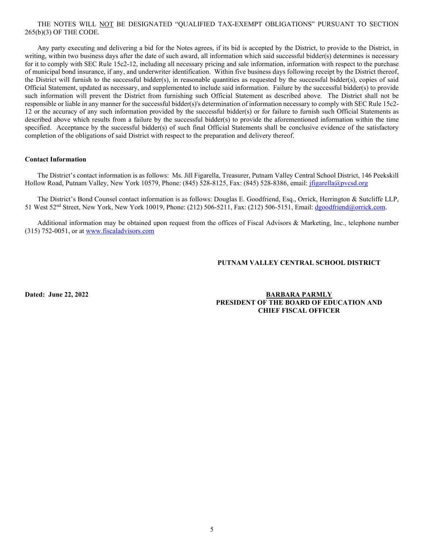### THE NOTES WILL NOT BE DESIGNATED "QUALIFIED TAX-EXEMPT OBLIGATIONS" PURSUANT TO SECTION 265(b)(3) OF THE CODE.

Any party executing and delivering a bid for the Notes agrees, if its bid is accepted by the District, to provide to the District, in writing, within two business days after the date of such award, all information which said successful bidder(s) determines is necessary for it to comply with SEC Rule 15c2-12, including all necessary pricing and sale information, information with respect to the purchase of municipal bond insurance, if any, and underwriter identification. Within five business days following receipt by the District thereof, the District will furnish to the successful bidder(s), in reasonable quantities as requested by the successful bidder(s), copies of said Official Statement, updated as necessary, and supplemented to include said information. Failure by the successful bidder(s) to provide such information will prevent the District from furnishing such Official Statement as described above. The District shall not be responsible or liable in any manner for the successful bidder(s)'s determination of information necessary to comply with SEC Rule 15c2- 12 or the accuracy of any such information provided by the successful bidder(s) or for failure to furnish such Official Statements as described above which results from a failure by the successful bidder(s) to provide the aforementioned information within the time specified. Acceptance by the successful bidder(s) of such final Official Statements shall be conclusive evidence of the satisfactory completion of the obligations of said District with respect to the preparation and delivery thereof.

#### **Contact Information**

The District's contact information is as follows: Ms. Jill Figarella, Treasurer, Putnam Valley Central School District, 146 Peekskill Hollow Road, Putnam Valley, New York 10579, Phone: (845) 528-8125, Fax: (845) 528-8386, email: *jfigarella@pvcsd.org* 

The District's Bond Counsel contact information is as follows: Douglas E. Goodfriend, Esq., Orrick, Herrington & Sutcliffe LLP, 51 West 52nd Street, New York, New York 10019, Phone: (212) 506-5211, Fax: (212) 506-5151, Email: [dgoodfriend@orrick.com.](mailto:dgoodfriend@orrick.com)

Additional information may be obtained upon request from the offices of Fiscal Advisors & Marketing, Inc., telephone number (315) 752-0051, or at [www.fiscaladvisors.com](file://app03/pub/Official%20Statements/Schools%20I-O/www.fiscaladvisors.com)

#### **PUTNAM VALLEY CENTRAL SCHOOL DISTRICT**

**Dated: June 22, 2022 BARBARA PARMLY PRESIDENT OF THE BOARD OF EDUCATION AND CHIEF FISCAL OFFICER**